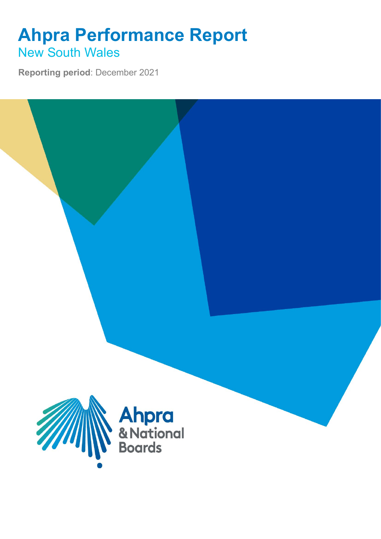## **Ahpra Performance Report** New South Wales

**Reporting period**: December 2021

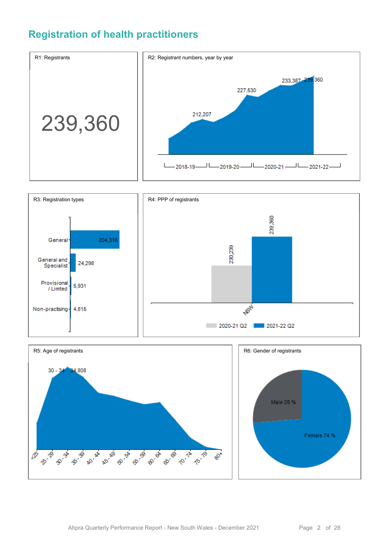### **Registration of health practitioners**

General and

Specialist

Provisional

/Limted

Non-practising- 4,815

24,298

5.931



230,239

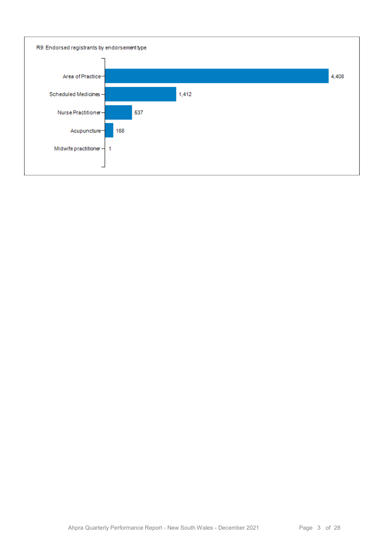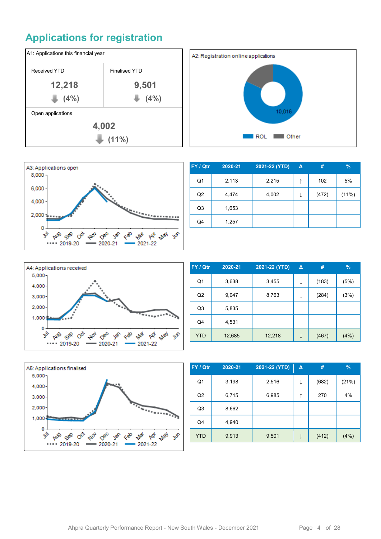## **Applications for registration**







| FY / Qtr       | 2020-21 | 2021-22 (YTD) | $\Delta$ | #     | $\%$  |
|----------------|---------|---------------|----------|-------|-------|
| Q1             | 2,113   | 2,215         | ↑        | 102   | 5%    |
| Q2             | 4,474   | 4,002         | ↓        | (472) | (11%) |
| Q <sub>3</sub> | 1,653   |               |          |       |       |
| Q4             | 1,257   |               |          |       |       |



| FY / Qtr       | 2020-21 | 2021-22 (YTD) | Δ | #     | %    |
|----------------|---------|---------------|---|-------|------|
| Q <sub>1</sub> | 3,638   | 3,455         | ↓ | (183) | (5%) |
| Q2             | 9,047   | 8,763         | ↓ | (284) | (3%) |
| Q <sub>3</sub> | 5,835   |               |   |       |      |
| Q4             | 4,531   |               |   |       |      |
| <b>YTD</b>     | 12,685  | 12,218        | ↓ | (467) | (4%) |



| FY / Qtr       | 2020-21 | 2021-22 (YTD) | Δ | #     | $\%$  |
|----------------|---------|---------------|---|-------|-------|
| Q <sub>1</sub> | 3,198   | 2,516         | ↓ | (682) | (21%) |
| Q <sub>2</sub> | 6,715   | 6,985         | ↑ | 270   | 4%    |
| Q <sub>3</sub> | 8,662   |               |   |       |       |
| Q4             | 4,940   |               |   |       |       |
| <b>YTD</b>     | 9,913   | 9,501         |   | (412) | (4%)  |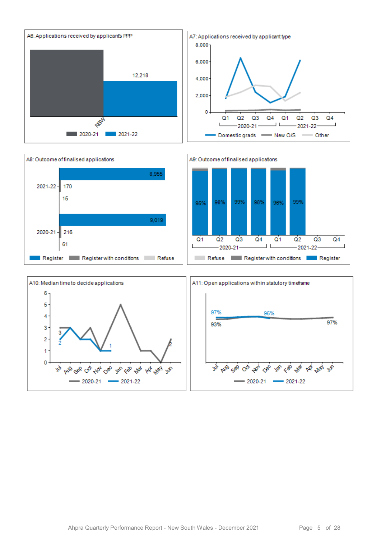



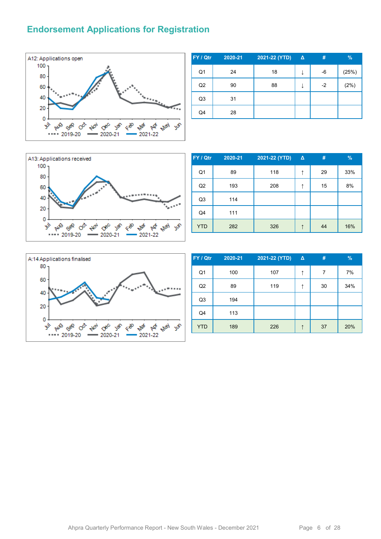#### **Endorsement Applications for Registration**



| FY / Qtr       | 2020-21 | 2021-22 (YTD) | Δ | #    | %     |
|----------------|---------|---------------|---|------|-------|
| Q <sub>1</sub> | 24      | 18            | ↓ | -6   | (25%) |
| Q2             | 90      | 88            | ↓ | $-2$ | (2%)  |
| Q <sub>3</sub> | 31      |               |   |      |       |
| Q4             | 28      |               |   |      |       |



| FY / Qtr       | 2020-21 | 2021-22 (YTD) | Δ | #  | $\%$ |
|----------------|---------|---------------|---|----|------|
| Q <sub>1</sub> | 89      | 118           | ↑ | 29 | 33%  |
| Q2             | 193     | 208           | ↑ | 15 | 8%   |
| Q <sub>3</sub> | 114     |               |   |    |      |
| Q4             | 111     |               |   |    |      |
| <b>YTD</b>     | 282     | 326           | ↑ | 44 | 16%  |



| FY / Qtr       | 2020-21 | 2021-22 (YTD) | Δ | #  | $\frac{9}{6}$ |
|----------------|---------|---------------|---|----|---------------|
| Q <sub>1</sub> | 100     | 107           | ↑ | 7  | 7%            |
| Q2             | 89      | 119           | ↑ | 30 | 34%           |
| Q3             | 194     |               |   |    |               |
| Q4             | 113     |               |   |    |               |
| <b>YTD</b>     | 189     | 226           | ↑ | 37 | 20%           |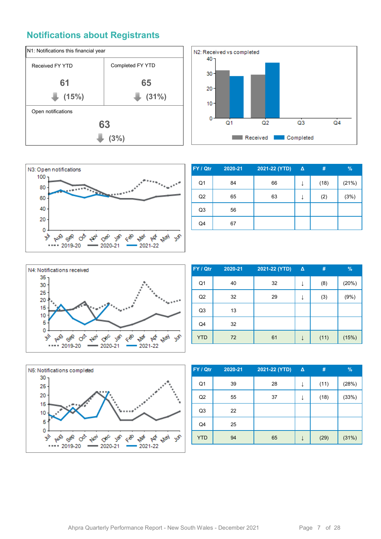#### **Notifications about Registrants**





| FY / Qtr       | 2020-21 | 2021-22 (YTD) | $\Delta$ | #    | $\%$  |
|----------------|---------|---------------|----------|------|-------|
| Q <sub>1</sub> | 84      | 66            |          | (18) | (21%) |
| Q <sub>2</sub> | 65      | 63            | ↓        | (2)  | (3%)  |
| Q <sub>3</sub> | 56      |               |          |      |       |
| Q4             | 67      |               |          |      |       |

 $Q4$ 



| FY / Qtr       | 2020-21 | 2021-22 (YTD) | Δ | #    | $\frac{9}{6}$ |
|----------------|---------|---------------|---|------|---------------|
| Q <sub>1</sub> | 40      | 32            | ↓ | (8)  | (20%)         |
| Q2             | 32      | 29            |   | (3)  | (9%)          |
| Q <sub>3</sub> | 13      |               |   |      |               |
| Q4             | 32      |               |   |      |               |
| <b>YTD</b>     | 72      | 61            |   | (11) | (15%)         |



| FY / Qtr       | 2020-21 | 2021-22 (YTD) | $\Delta$ | #    | $\frac{9}{6}$ |
|----------------|---------|---------------|----------|------|---------------|
| Q <sub>1</sub> | 39      | 28            | ↓        | (11) | (28%)         |
| Q2             | 55      | 37            | ↓        | (18) | (33%)         |
| Q <sub>3</sub> | 22      |               |          |      |               |
| Q4             | 25      |               |          |      |               |
| <b>YTD</b>     | 94      | 65            | ↓        | (29) | (31%)         |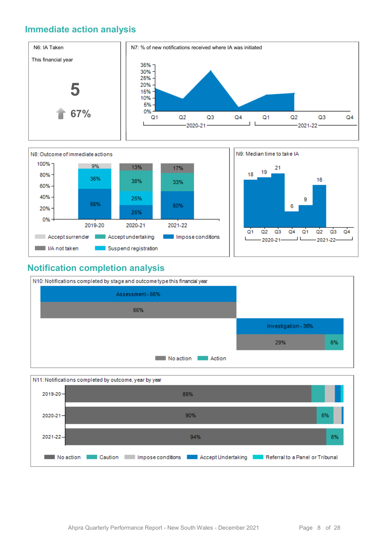#### **Immediate action analysis**





#### **Notification completion analysis**



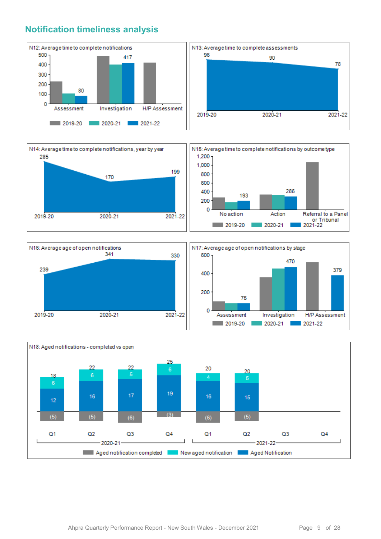#### **Notification timeliness analysis**









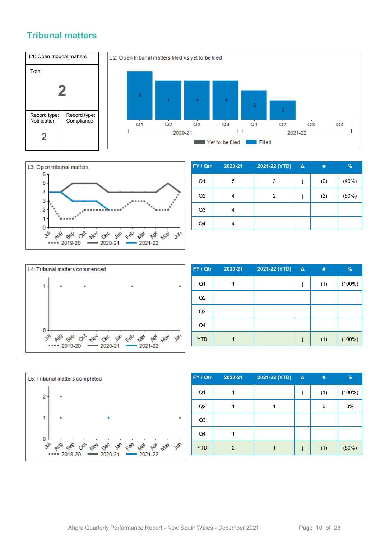#### **Tribunal matters**





| FY / Qtr       | 2020-21 | 2021-22 (YTD) | $\Delta$ | #   | %     |
|----------------|---------|---------------|----------|-----|-------|
| Q <sub>1</sub> | 5       | 3             |          | (2) | (40%) |
| Q2             | 4       | 2             |          | (2) | (50%) |
| Q <sub>3</sub> | 4       |               |          |     |       |
| Q4             | 4       |               |          |     |       |



| FY / Qtr       | 2020-21 | 2021-22 (YTD) | $\Delta$ | #   | $\%$      |
|----------------|---------|---------------|----------|-----|-----------|
| Q <sub>1</sub> |         |               | ↓        | (1) | (100%)    |
| Q2             |         |               |          |     |           |
| Q <sub>3</sub> |         |               |          |     |           |
| Q4             |         |               |          |     |           |
| <b>YTD</b>     |         |               |          | (1) | $(100\%)$ |



| FY / Qtr       | 2020-21        | 2021-22 (YTD) | $\Delta$ | #   | $\frac{9}{6}$ |
|----------------|----------------|---------------|----------|-----|---------------|
| Q1             |                |               | ↓        | (1) | (100%)        |
| Q2             |                |               |          | 0   | 0%            |
| Q <sub>3</sub> |                |               |          |     |               |
| Q4             |                |               |          |     |               |
| <b>YTD</b>     | $\overline{2}$ |               |          | (1) | (50%)         |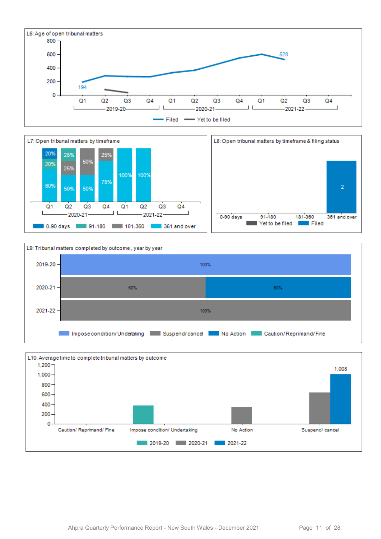







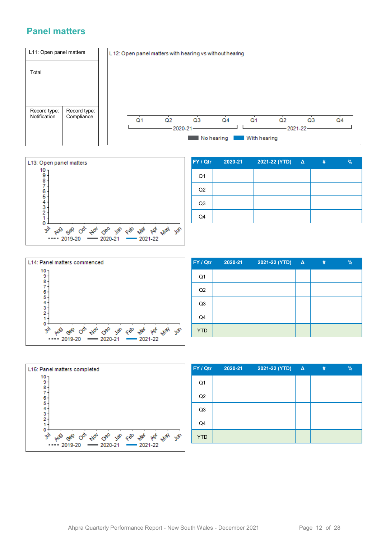#### **Panel matters**





| FY / Qtr       | 2020-21 | 2021-22 (YTD) Δ | # | % |
|----------------|---------|-----------------|---|---|
| Q1             |         |                 |   |   |
| Q2             |         |                 |   |   |
| Q <sub>3</sub> |         |                 |   |   |
| Q4             |         |                 |   |   |



| FY / Qtr       | 2020-21 | $2021-22 (YTD)$ Δ | # | $\frac{9}{6}$ |
|----------------|---------|-------------------|---|---------------|
| Q <sub>1</sub> |         |                   |   |               |
| Q2             |         |                   |   |               |
| Q3             |         |                   |   |               |
| Q4             |         |                   |   |               |
| <b>YTD</b>     |         |                   |   |               |



| FY / Qtr       | 2020-21 | 2021-22 (YTD) Δ | # | $\%$ |
|----------------|---------|-----------------|---|------|
| Q <sub>1</sub> |         |                 |   |      |
| Q2             |         |                 |   |      |
| Q <sub>3</sub> |         |                 |   |      |
| Q <sub>4</sub> |         |                 |   |      |
| <b>YTD</b>     |         |                 |   |      |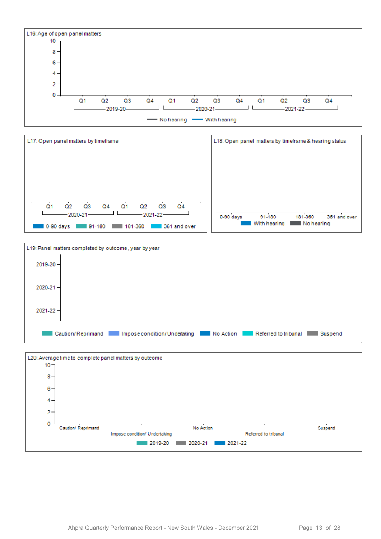





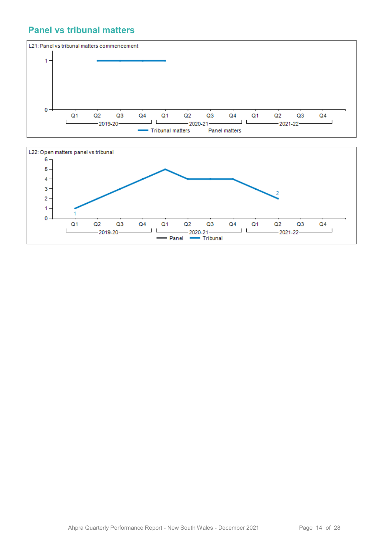#### **Panel vs tribunal matters**



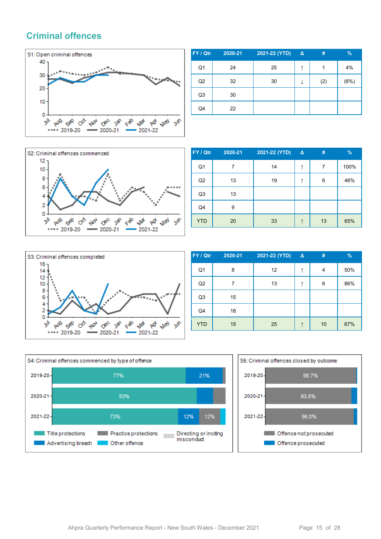#### **Criminal offences**



| FY / Qtr       | 2020-21 | 2021-22 (YTD) | $\Delta$ | #   | %    |
|----------------|---------|---------------|----------|-----|------|
| Q <sub>1</sub> | 24      | 25            | ↑        |     | 4%   |
| Q2             | 32      | 30            |          | (2) | (6%) |
| Q <sub>3</sub> | 30      |               |          |     |      |
| Q4             | 22      |               |          |     |      |



| FY / Qtr       | 2020-21 | 2021-22 (YTD) | $\Delta$ | #  | %    |
|----------------|---------|---------------|----------|----|------|
| Q1             |         | 14            | ↑        | 7  | 100% |
| Q2             | 13      | 19            |          | 6  | 46%  |
| Q <sub>3</sub> | 13      |               |          |    |      |
| Q4             | 9       |               |          |    |      |
| <b>YTD</b>     | 20      | 33            | ↑        | 13 | 65%  |



| FY / Qtr       | 2020-21 | 2021-22 (YTD) | $\Delta$ | #  | $\frac{9}{6}$ |
|----------------|---------|---------------|----------|----|---------------|
| Q <sub>1</sub> | 8       | 12            | ↑        | 4  | 50%           |
| Q2             |         | 13            | ↑        | 6  | 86%           |
| Q <sub>3</sub> | 15      |               |          |    |               |
| Q4             | 18      |               |          |    |               |
| <b>YTD</b>     | 15      | 25            | ↑        | 10 | 67%           |



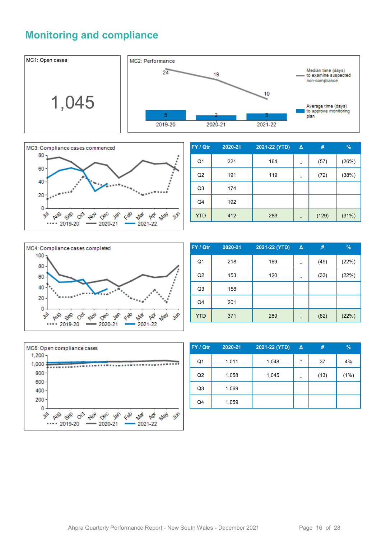### **Monitoring and compliance**





| FY / Qtr       | 2020-21 | 2021-22 (YTD) | Δ | #     | %     |
|----------------|---------|---------------|---|-------|-------|
| Q <sub>1</sub> | 221     | 164           |   | (57)  | (26%) |
| Q2             | 191     | 119           | ↓ | (72)  | (38%) |
| Q <sub>3</sub> | 174     |               |   |       |       |
| Q4             | 192     |               |   |       |       |
| <b>YTD</b>     | 412     | 283           |   | (129) | (31%) |



| FY / Qtr       | 2020-21 | 2021-22 (YTD) | $\Delta$ | #    | $\%$  |
|----------------|---------|---------------|----------|------|-------|
| Q <sub>1</sub> | 218     | 169           | ↓        | (49) | (22%) |
| Q2             | 153     | 120           | ↓        | (33) | (22%) |
| Q <sub>3</sub> | 158     |               |          |      |       |
| Q4             | 201     |               |          |      |       |
| <b>YTD</b>     | 371     | 289           |          | (82) | (22%) |



| FY / Qtr       | 2020-21 | 2021-22 (YTD) | $\Delta$ | #    | $\frac{9}{6}$ |
|----------------|---------|---------------|----------|------|---------------|
| Q <sub>1</sub> | 1,011   | 1,048         | ᠰ        | 37   | 4%            |
| Q <sub>2</sub> | 1,058   | 1,045         | ↓        | (13) | (1%)          |
| Q <sub>3</sub> | 1,069   |               |          |      |               |
| Q4             | 1,059   |               |          |      |               |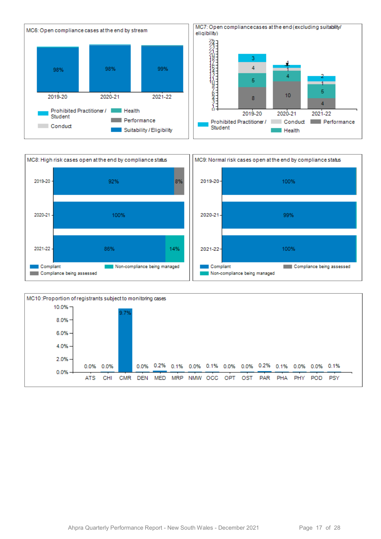



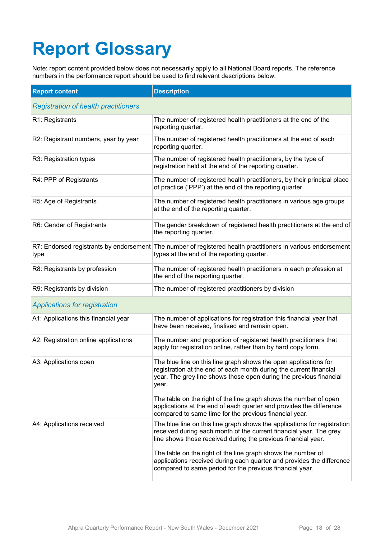# **Report Glossary**

Note: report content provided below does not necessarily apply to all National Board reports. The reference numbers in the performance report should be used to find relevant descriptions below.

| <b>Report content</b>                       | <b>Description</b>                                                                                                                                                                                                    |
|---------------------------------------------|-----------------------------------------------------------------------------------------------------------------------------------------------------------------------------------------------------------------------|
| <b>Registration of health practitioners</b> |                                                                                                                                                                                                                       |
| R1: Registrants                             | The number of registered health practitioners at the end of the<br>reporting quarter.                                                                                                                                 |
| R2: Registrant numbers, year by year        | The number of registered health practitioners at the end of each<br>reporting quarter.                                                                                                                                |
| R3: Registration types                      | The number of registered health practitioners, by the type of<br>registration held at the end of the reporting quarter.                                                                                               |
| R4: PPP of Registrants                      | The number of registered health practitioners, by their principal place<br>of practice ('PPP') at the end of the reporting quarter.                                                                                   |
| R5: Age of Registrants                      | The number of registered health practitioners in various age groups<br>at the end of the reporting quarter.                                                                                                           |
| R6: Gender of Registrants                   | The gender breakdown of registered health practitioners at the end of<br>the reporting quarter.                                                                                                                       |
| type                                        | R7: Endorsed registrants by endorsement The number of registered health practitioners in various endorsement<br>types at the end of the reporting quarter.                                                            |
| R8: Registrants by profession               | The number of registered health practitioners in each profession at<br>the end of the reporting quarter.                                                                                                              |
| R9: Registrants by division                 | The number of registered practitioners by division                                                                                                                                                                    |
| <b>Applications for registration</b>        |                                                                                                                                                                                                                       |
| A1: Applications this financial year        | The number of applications for registration this financial year that<br>have been received, finalised and remain open.                                                                                                |
| A2: Registration online applications        | The number and proportion of registered health practitioners that<br>apply for registration online, rather than by hard copy form.                                                                                    |
| A3: Applications open                       | The blue line on this line graph shows the open applications for<br>registration at the end of each month during the current financial<br>year. The grey line shows those open during the previous financial<br>year. |
|                                             | The table on the right of the line graph shows the number of open<br>applications at the end of each quarter and provides the difference<br>compared to same time for the previous financial year.                    |
| A4: Applications received                   | The blue line on this line graph shows the applications for registration<br>received during each month of the current financial year. The grey<br>line shows those received during the previous financial year.       |
|                                             | The table on the right of the line graph shows the number of<br>applications received during each quarter and provides the difference<br>compared to same period for the previous financial year.                     |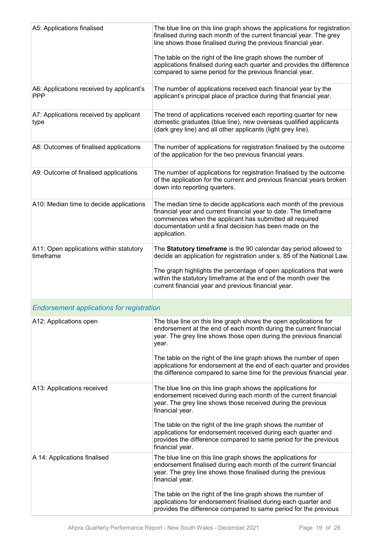| A5: Applications finalised                             | The blue line on this line graph shows the applications for registration<br>finalised during each month of the current financial year. The grey<br>line shows those finalised during the previous financial year.<br>The table on the right of the line graph shows the number of                                                           |
|--------------------------------------------------------|---------------------------------------------------------------------------------------------------------------------------------------------------------------------------------------------------------------------------------------------------------------------------------------------------------------------------------------------|
|                                                        | applications finalised during each quarter and provides the difference<br>compared to same period for the previous financial year.                                                                                                                                                                                                          |
| A6: Applications received by applicant's<br><b>PPP</b> | The number of applications received each financial year by the<br>applicant's principal place of practice during that financial year.                                                                                                                                                                                                       |
| A7: Applications received by applicant<br>type         | The trend of applications received each reporting quarter for new<br>domestic graduates (blue line), new overseas qualified applicants<br>(dark grey line) and all other applicants (light grey line).                                                                                                                                      |
| A8: Outcomes of finalised applications                 | The number of applications for registration finalised by the outcome<br>of the application for the two previous financial years.                                                                                                                                                                                                            |
| A9: Outcome of finalised applications                  | The number of applications for registration finalised by the outcome<br>of the application for the current and previous financial years broken<br>down into reporting quarters.                                                                                                                                                             |
| A10: Median time to decide applications                | The median time to decide applications each month of the previous<br>financial year and current financial year to date. The timeframe<br>commences when the applicant has submitted all required<br>documentation until a final decision has been made on the<br>application.                                                               |
| A11: Open applications within statutory<br>timeframe   | The Statutory timeframe is the 90 calendar day period allowed to<br>decide an application for registration under s. 85 of the National Law.<br>The graph highlights the percentage of open applications that were<br>within the statutory timeframe at the end of the month over the<br>current financial year and previous financial year. |
| <b>Endorsement applications for registration</b>       |                                                                                                                                                                                                                                                                                                                                             |
| A12: Applications open                                 | The blue line on this line graph shows the open applications for<br>endorsement at the end of each month during the current financial<br>year. The grey line shows those open during the previous financial<br>year.                                                                                                                        |
|                                                        | The table on the right of the line graph shows the number of open<br>applications for endorsement at the end of each quarter and provides<br>the difference compared to same time for the previous financial year.                                                                                                                          |
| A13: Applications received                             | The blue line on this line graph shows the applications for<br>endorsement received during each month of the current financial<br>year. The grey line shows those received during the previous<br>financial year.                                                                                                                           |
|                                                        | The table on the right of the line graph shows the number of<br>applications for endorsement received during each quarter and<br>provides the difference compared to same period for the previous<br>financial year.                                                                                                                        |
| A 14: Applications finalised                           | The blue line on this line graph shows the applications for<br>endorsement finalised during each month of the current financial<br>year. The grey line shows those finalised during the previous<br>financial year.                                                                                                                         |
|                                                        | The table on the right of the line graph shows the number of<br>applications for endorsement finalised during each quarter and<br>provides the difference compared to same period for the previous                                                                                                                                          |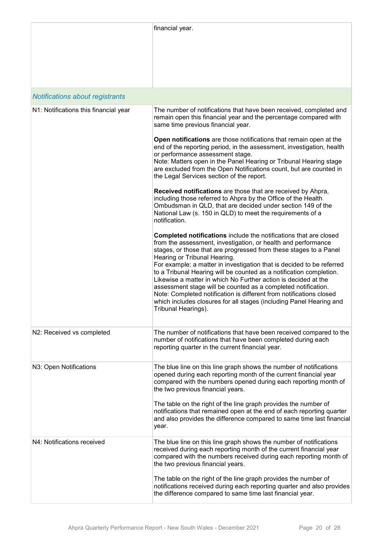|                                       | financial year.                                                                                                                                                                                                                                                                                                                                                                                                                                                                                                                                                                                                                                                                                 |
|---------------------------------------|-------------------------------------------------------------------------------------------------------------------------------------------------------------------------------------------------------------------------------------------------------------------------------------------------------------------------------------------------------------------------------------------------------------------------------------------------------------------------------------------------------------------------------------------------------------------------------------------------------------------------------------------------------------------------------------------------|
| Notifications about registrants       |                                                                                                                                                                                                                                                                                                                                                                                                                                                                                                                                                                                                                                                                                                 |
| N1: Notifications this financial year | The number of notifications that have been received, completed and<br>remain open this financial year and the percentage compared with<br>same time previous financial year.                                                                                                                                                                                                                                                                                                                                                                                                                                                                                                                    |
|                                       | Open notifications are those notifications that remain open at the<br>end of the reporting period, in the assessment, investigation, health<br>or performance assessment stage.<br>Note: Matters open in the Panel Hearing or Tribunal Hearing stage<br>are excluded from the Open Notifications count, but are counted in<br>the Legal Services section of the report.                                                                                                                                                                                                                                                                                                                         |
|                                       | Received notifications are those that are received by Ahpra,<br>including those referred to Ahpra by the Office of the Health<br>Ombudsman in QLD, that are decided under section 149 of the<br>National Law (s. 150 in QLD) to meet the requirements of a<br>notification.                                                                                                                                                                                                                                                                                                                                                                                                                     |
|                                       | Completed notifications include the notifications that are closed<br>from the assessment, investigation, or health and performance<br>stages, or those that are progressed from these stages to a Panel<br>Hearing or Tribunal Hearing.<br>For example: a matter in investigation that is decided to be referred<br>to a Tribunal Hearing will be counted as a notification completion.<br>Likewise a matter in which No Further action is decided at the<br>assessment stage will be counted as a completed notification.<br>Note: Completed notification is different from notifications closed<br>which includes closures for all stages (including Panel Hearing and<br>Tribunal Hearings). |
| N2: Received vs completed             | The number of notifications that have been received compared to the<br>number of notifications that have been completed during each<br>reporting quarter in the current financial year.                                                                                                                                                                                                                                                                                                                                                                                                                                                                                                         |
| N3: Open Notifications                | The blue line on this line graph shows the number of notifications<br>opened during each reporting month of the current financial year<br>compared with the numbers opened during each reporting month of<br>the two previous financial years.<br>The table on the right of the line graph provides the number of<br>notifications that remained open at the end of each reporting quarter<br>and also provides the difference compared to same time last financial<br>year.                                                                                                                                                                                                                    |
| N4: Notifications received            | The blue line on this line graph shows the number of notifications<br>received during each reporting month of the current financial year<br>compared with the numbers received during each reporting month of<br>the two previous financial years.                                                                                                                                                                                                                                                                                                                                                                                                                                              |
|                                       | The table on the right of the line graph provides the number of<br>notifications received during each reporting quarter and also provides<br>the difference compared to same time last financial year.                                                                                                                                                                                                                                                                                                                                                                                                                                                                                          |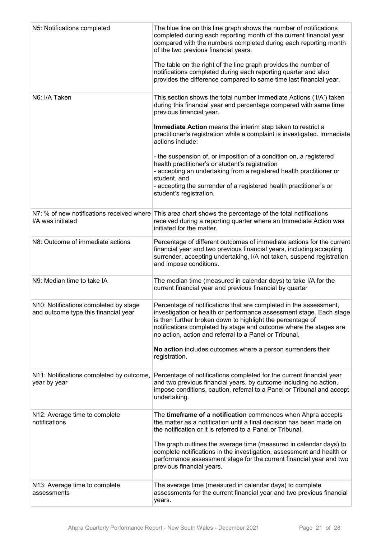| N5: Notifications completed                                                   | The blue line on this line graph shows the number of notifications<br>completed during each reporting month of the current financial year<br>compared with the numbers completed during each reporting month<br>of the two previous financial years.<br>The table on the right of the line graph provides the number of<br>notifications completed during each reporting quarter and also<br>provides the difference compared to same time last financial year. |
|-------------------------------------------------------------------------------|-----------------------------------------------------------------------------------------------------------------------------------------------------------------------------------------------------------------------------------------------------------------------------------------------------------------------------------------------------------------------------------------------------------------------------------------------------------------|
| N6: I/A Taken                                                                 | This section shows the total number Immediate Actions ('I/A') taken<br>during this financial year and percentage compared with same time<br>previous financial year.                                                                                                                                                                                                                                                                                            |
|                                                                               | Immediate Action means the interim step taken to restrict a<br>practitioner's registration while a complaint is investigated. Immediate<br>actions include:                                                                                                                                                                                                                                                                                                     |
|                                                                               | - the suspension of, or imposition of a condition on, a registered<br>health practitioner's or student's registration<br>- accepting an undertaking from a registered health practitioner or<br>student, and<br>- accepting the surrender of a registered health practitioner's or<br>student's registration.                                                                                                                                                   |
| I/A was initiated                                                             | N7: % of new notifications received where This area chart shows the percentage of the total notifications<br>received during a reporting quarter where an Immediate Action was<br>initiated for the matter.                                                                                                                                                                                                                                                     |
| N8: Outcome of immediate actions                                              | Percentage of different outcomes of immediate actions for the current<br>financial year and two previous financial years, including accepting<br>surrender, accepting undertaking, I/A not taken, suspend registration<br>and impose conditions.                                                                                                                                                                                                                |
| N9: Median time to take IA                                                    | The median time (measured in calendar days) to take I/A for the<br>current financial year and previous financial by quarter                                                                                                                                                                                                                                                                                                                                     |
| N10: Notifications completed by stage<br>and outcome type this financial year | Percentage of notifications that are completed in the assessment,<br>investigation or health or performance assessment stage. Each stage<br>is then further broken down to highlight the percentage of<br>notifications completed by stage and outcome where the stages are<br>no action, action and referral to a Panel or Tribunal.                                                                                                                           |
|                                                                               | No action includes outcomes where a person surrenders their<br>registration.                                                                                                                                                                                                                                                                                                                                                                                    |
| N11: Notifications completed by outcome,<br>year by year                      | Percentage of notifications completed for the current financial year<br>and two previous financial years, by outcome including no action,<br>impose conditions, caution, referral to a Panel or Tribunal and accept<br>undertaking.                                                                                                                                                                                                                             |
| N12: Average time to complete<br>notifications                                | The timeframe of a notification commences when Ahpra accepts<br>the matter as a notification until a final decision has been made on<br>the notification or it is referred to a Panel or Tribunal.                                                                                                                                                                                                                                                              |
|                                                                               | The graph outlines the average time (measured in calendar days) to<br>complete notifications in the investigation, assessment and health or<br>performance assessment stage for the current financial year and two<br>previous financial years.                                                                                                                                                                                                                 |
| N13: Average time to complete<br>assessments                                  | The average time (measured in calendar days) to complete<br>assessments for the current financial year and two previous financial<br>years.                                                                                                                                                                                                                                                                                                                     |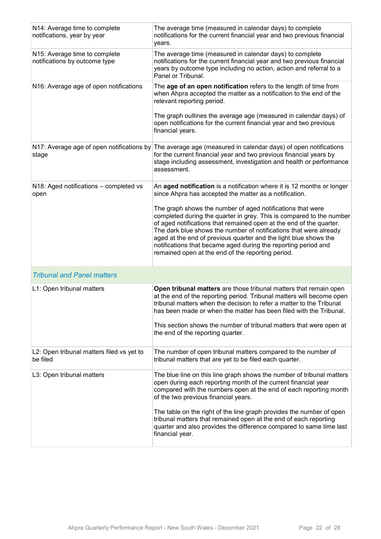| N14: Average time to complete<br>notifications, year by year   | The average time (measured in calendar days) to complete<br>notifications for the current financial year and two previous financial<br>years.                                                                                                                                                                                                                                                                                                                             |
|----------------------------------------------------------------|---------------------------------------------------------------------------------------------------------------------------------------------------------------------------------------------------------------------------------------------------------------------------------------------------------------------------------------------------------------------------------------------------------------------------------------------------------------------------|
| N15: Average time to complete<br>notifications by outcome type | The average time (measured in calendar days) to complete<br>notifications for the current financial year and two previous financial<br>years by outcome type including no action, action and referral to a<br>Panel or Tribunal.                                                                                                                                                                                                                                          |
| N16: Average age of open notifications                         | The age of an open notification refers to the length of time from<br>when Ahpra accepted the matter as a notification to the end of the<br>relevant reporting period.                                                                                                                                                                                                                                                                                                     |
|                                                                | The graph outlines the average age (measured in calendar days) of<br>open notifications for the current financial year and two previous<br>financial years.                                                                                                                                                                                                                                                                                                               |
| stage                                                          | N17: Average age of open notifications by The average age (measured in calendar days) of open notifications<br>for the current financial year and two previous financial years by<br>stage including assessment, investigation and health or performance<br>assessment.                                                                                                                                                                                                   |
| N18: Aged notifications - completed vs<br>open                 | An aged notification is a notification where it is 12 months or longer<br>since Ahpra has accepted the matter as a notification.                                                                                                                                                                                                                                                                                                                                          |
|                                                                | The graph shows the number of aged notifications that were<br>completed during the quarter in grey. This is compared to the number<br>of aged notifications that remained open at the end of the quarter.<br>The dark blue shows the number of notifications that were already<br>aged at the end of previous quarter and the light blue shows the<br>notifications that became aged during the reporting period and<br>remained open at the end of the reporting period. |
| <b>Tribunal and Panel matters</b>                              |                                                                                                                                                                                                                                                                                                                                                                                                                                                                           |
| L1: Open tribunal matters                                      | Open tribunal matters are those tribunal matters that remain open<br>at the end of the reporting period. Tribunal matters will become open<br>tribunal matters when the decision to refer a matter to the Tribunal<br>has been made or when the matter has been filed with the Tribunal.<br>This section shows the number of tribunal matters that were open at<br>the end of the reporting quarter.                                                                      |
| L2: Open tribunal matters filed vs yet to<br>be filed          | The number of open tribunal matters compared to the number of<br>tribunal matters that are yet to be filed each quarter.                                                                                                                                                                                                                                                                                                                                                  |
| L3: Open tribunal matters                                      | The blue line on this line graph shows the number of tribunal matters<br>open during each reporting month of the current financial year<br>compared with the numbers open at the end of each reporting month<br>of the two previous financial years.                                                                                                                                                                                                                      |
|                                                                | The table on the right of the line graph provides the number of open<br>tribunal matters that remained open at the end of each reporting<br>quarter and also provides the difference compared to same time last<br>financial year.                                                                                                                                                                                                                                        |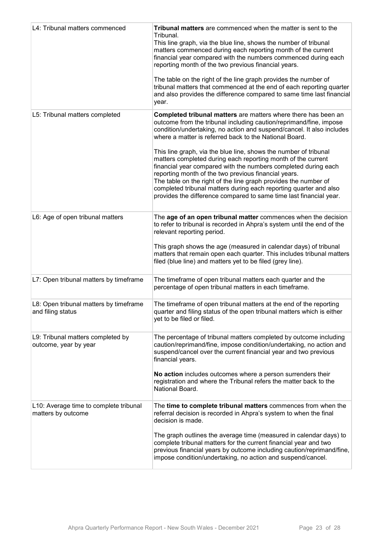| L4: Tribunal matters commenced                               | Tribunal matters are commenced when the matter is sent to the<br>Tribunal.<br>This line graph, via the blue line, shows the number of tribunal<br>matters commenced during each reporting month of the current<br>financial year compared with the numbers commenced during each<br>reporting month of the two previous financial years.<br>The table on the right of the line graph provides the number of<br>tribunal matters that commenced at the end of each reporting quarter<br>and also provides the difference compared to same time last financial<br>year.                                                                                                                                                                               |
|--------------------------------------------------------------|-----------------------------------------------------------------------------------------------------------------------------------------------------------------------------------------------------------------------------------------------------------------------------------------------------------------------------------------------------------------------------------------------------------------------------------------------------------------------------------------------------------------------------------------------------------------------------------------------------------------------------------------------------------------------------------------------------------------------------------------------------|
| L5: Tribunal matters completed                               | Completed tribunal matters are matters where there has been an<br>outcome from the tribunal including caution/reprimand/fine, impose<br>condition/undertaking, no action and suspend/cancel. It also includes<br>where a matter is referred back to the National Board.<br>This line graph, via the blue line, shows the number of tribunal<br>matters completed during each reporting month of the current<br>financial year compared with the numbers completed during each<br>reporting month of the two previous financial years.<br>The table on the right of the line graph provides the number of<br>completed tribunal matters during each reporting quarter and also<br>provides the difference compared to same time last financial year. |
| L6: Age of open tribunal matters                             | The age of an open tribunal matter commences when the decision<br>to refer to tribunal is recorded in Ahpra's system until the end of the<br>relevant reporting period.<br>This graph shows the age (measured in calendar days) of tribunal<br>matters that remain open each quarter. This includes tribunal matters<br>filed (blue line) and matters yet to be filed (grey line).                                                                                                                                                                                                                                                                                                                                                                  |
| L7: Open tribunal matters by timeframe                       | The timeframe of open tribunal matters each quarter and the<br>percentage of open tribunal matters in each timeframe.                                                                                                                                                                                                                                                                                                                                                                                                                                                                                                                                                                                                                               |
| L8: Open tribunal matters by timeframe<br>and filing status  | The timeframe of open tribunal matters at the end of the reporting<br>quarter and filing status of the open tribunal matters which is either<br>yet to be filed or filed.                                                                                                                                                                                                                                                                                                                                                                                                                                                                                                                                                                           |
| L9: Tribunal matters completed by<br>outcome, year by year   | The percentage of tribunal matters completed by outcome including<br>caution/reprimand/fine, impose condition/undertaking, no action and<br>suspend/cancel over the current financial year and two previous<br>financial years.<br>No action includes outcomes where a person surrenders their<br>registration and where the Tribunal refers the matter back to the<br>National Board.                                                                                                                                                                                                                                                                                                                                                              |
| L10: Average time to complete tribunal<br>matters by outcome | The time to complete tribunal matters commences from when the<br>referral decision is recorded in Ahpra's system to when the final<br>decision is made.<br>The graph outlines the average time (measured in calendar days) to<br>complete tribunal matters for the current financial year and two<br>previous financial years by outcome including caution/reprimand/fine,<br>impose condition/undertaking, no action and suspend/cancel.                                                                                                                                                                                                                                                                                                           |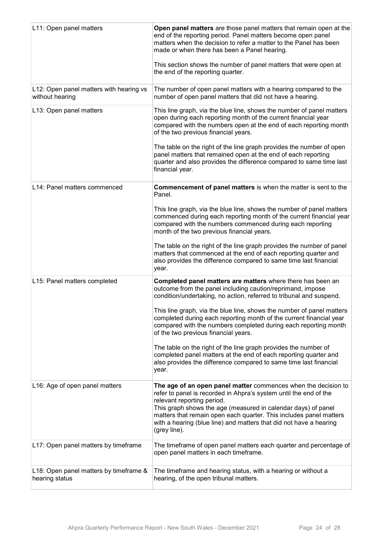| L11: Open panel matters                                    | Open panel matters are those panel matters that remain open at the<br>end of the reporting period. Panel matters become open panel<br>matters when the decision to refer a matter to the Panel has been<br>made or when there has been a Panel hearing.<br>This section shows the number of panel matters that were open at<br>the end of the reporting quarter.                               |
|------------------------------------------------------------|------------------------------------------------------------------------------------------------------------------------------------------------------------------------------------------------------------------------------------------------------------------------------------------------------------------------------------------------------------------------------------------------|
| L12: Open panel matters with hearing vs<br>without hearing | The number of open panel matters with a hearing compared to the<br>number of open panel matters that did not have a hearing.                                                                                                                                                                                                                                                                   |
| L13: Open panel matters                                    | This line graph, via the blue line, shows the number of panel matters<br>open during each reporting month of the current financial year<br>compared with the numbers open at the end of each reporting month<br>of the two previous financial years.                                                                                                                                           |
|                                                            | The table on the right of the line graph provides the number of open<br>panel matters that remained open at the end of each reporting<br>quarter and also provides the difference compared to same time last<br>financial year.                                                                                                                                                                |
| L14: Panel matters commenced                               | <b>Commencement of panel matters is when the matter is sent to the</b><br>Panel.                                                                                                                                                                                                                                                                                                               |
|                                                            | This line graph, via the blue line, shows the number of panel matters<br>commenced during each reporting month of the current financial year<br>compared with the numbers commenced during each reporting<br>month of the two previous financial years.                                                                                                                                        |
|                                                            | The table on the right of the line graph provides the number of panel<br>matters that commenced at the end of each reporting quarter and<br>also provides the difference compared to same time last financial<br>year.                                                                                                                                                                         |
| L15: Panel matters completed                               | Completed panel matters are matters where there has been an<br>outcome from the panel including caution/reprimand, impose<br>condition/undertaking, no action, referred to tribunal and suspend.                                                                                                                                                                                               |
|                                                            | This line graph, via the blue line, shows the number of panel matters<br>completed during each reporting month of the current financial year<br>compared with the numbers completed during each reporting month<br>of the two previous financial years.                                                                                                                                        |
|                                                            | The table on the right of the line graph provides the number of<br>completed panel matters at the end of each reporting quarter and<br>also provides the difference compared to same time last financial<br>year.                                                                                                                                                                              |
| L16: Age of open panel matters                             | The age of an open panel matter commences when the decision to<br>refer to panel is recorded in Ahpra's system until the end of the<br>relevant reporting period.<br>This graph shows the age (measured in calendar days) of panel<br>matters that remain open each quarter. This includes panel matters<br>with a hearing (blue line) and matters that did not have a hearing<br>(grey line). |
| L17: Open panel matters by timeframe                       | The timeframe of open panel matters each quarter and percentage of<br>open panel matters in each timeframe.                                                                                                                                                                                                                                                                                    |
| L18: Open panel matters by timeframe &<br>hearing status   | The timeframe and hearing status, with a hearing or without a<br>hearing, of the open tribunal matters.                                                                                                                                                                                                                                                                                        |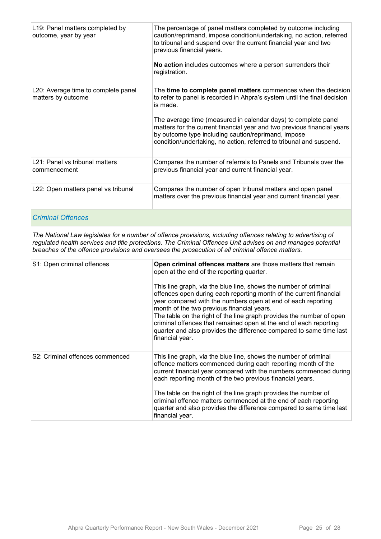| L19: Panel matters completed by<br>outcome, year by year    | The percentage of panel matters completed by outcome including<br>caution/reprimand, impose condition/undertaking, no action, referred<br>to tribunal and suspend over the current financial year and two<br>previous financial years.<br>No action includes outcomes where a person surrenders their<br>registration. |
|-------------------------------------------------------------|------------------------------------------------------------------------------------------------------------------------------------------------------------------------------------------------------------------------------------------------------------------------------------------------------------------------|
| L20: Average time to complete panel<br>matters by outcome   | The time to complete panel matters commences when the decision<br>to refer to panel is recorded in Ahpra's system until the final decision                                                                                                                                                                             |
|                                                             | is made.<br>The average time (measured in calendar days) to complete panel                                                                                                                                                                                                                                             |
|                                                             | matters for the current financial year and two previous financial years<br>by outcome type including caution/reprimand, impose<br>condition/undertaking, no action, referred to tribunal and suspend.                                                                                                                  |
| L <sub>21</sub> : Panel vs tribunal matters<br>commencement | Compares the number of referrals to Panels and Tribunals over the<br>previous financial year and current financial year.                                                                                                                                                                                               |
| L22: Open matters panel vs tribunal                         | Compares the number of open tribunal matters and open panel<br>matters over the previous financial year and current financial year.                                                                                                                                                                                    |

#### *Criminal Offences*

*The National Law legislates for a number of offence provisions, including offences relating to advertising of regulated health services and title protections. The Criminal Offences Unit advises on and manages potential breaches of the offence provisions and oversees the prosecution of all criminal offence matters.*

| S1: Open criminal offences      | Open criminal offences matters are those matters that remain<br>open at the end of the reporting quarter.<br>This line graph, via the blue line, shows the number of criminal<br>offences open during each reporting month of the current financial<br>year compared with the numbers open at end of each reporting<br>month of the two previous financial years.<br>The table on the right of the line graph provides the number of open<br>criminal offences that remained open at the end of each reporting<br>quarter and also provides the difference compared to same time last<br>financial year. |
|---------------------------------|----------------------------------------------------------------------------------------------------------------------------------------------------------------------------------------------------------------------------------------------------------------------------------------------------------------------------------------------------------------------------------------------------------------------------------------------------------------------------------------------------------------------------------------------------------------------------------------------------------|
| S2: Criminal offences commenced | This line graph, via the blue line, shows the number of criminal<br>offence matters commenced during each reporting month of the<br>current financial year compared with the numbers commenced during<br>each reporting month of the two previous financial years.<br>The table on the right of the line graph provides the number of                                                                                                                                                                                                                                                                    |
|                                 | criminal offence matters commenced at the end of each reporting<br>quarter and also provides the difference compared to same time last<br>financial year.                                                                                                                                                                                                                                                                                                                                                                                                                                                |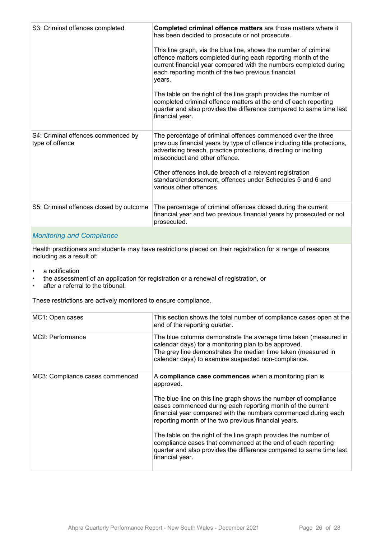| S3: Criminal offences completed                       | Completed criminal offence matters are those matters where it<br>has been decided to prosecute or not prosecute.<br>This line graph, via the blue line, shows the number of criminal<br>offence matters completed during each reporting month of the<br>current financial year compared with the numbers completed during<br>each reporting month of the two previous financial<br>years.<br>The table on the right of the line graph provides the number of<br>completed criminal offence matters at the end of each reporting<br>quarter and also provides the difference compared to same time last<br>financial year. |
|-------------------------------------------------------|---------------------------------------------------------------------------------------------------------------------------------------------------------------------------------------------------------------------------------------------------------------------------------------------------------------------------------------------------------------------------------------------------------------------------------------------------------------------------------------------------------------------------------------------------------------------------------------------------------------------------|
| S4: Criminal offences commenced by<br>type of offence | The percentage of criminal offences commenced over the three<br>previous financial years by type of offence including title protections,<br>advertising breach, practice protections, directing or inciting<br>misconduct and other offence.<br>Other offences include breach of a relevant registration<br>standard/endorsement, offences under Schedules 5 and 6 and<br>various other offences.                                                                                                                                                                                                                         |
| S5: Criminal offences closed by outcome               | The percentage of criminal offences closed during the current<br>financial year and two previous financial years by prosecuted or not<br>prosecuted.                                                                                                                                                                                                                                                                                                                                                                                                                                                                      |
|                                                       |                                                                                                                                                                                                                                                                                                                                                                                                                                                                                                                                                                                                                           |

#### *Monitoring and Compliance*

Health practitioners and students may have restrictions placed on their registration for a range of reasons including as a result of:

- a notification
- the assessment of an application for registration or a renewal of registration, or<br>• after a referral to the tribunal
- after a referral to the tribunal.

These restrictions are actively monitored to ensure compliance.

| MC1: Open cases                 | This section shows the total number of compliance cases open at the<br>end of the reporting quarter.                                                                                                                                                                                                                                                                                                                                                                                                                                                       |
|---------------------------------|------------------------------------------------------------------------------------------------------------------------------------------------------------------------------------------------------------------------------------------------------------------------------------------------------------------------------------------------------------------------------------------------------------------------------------------------------------------------------------------------------------------------------------------------------------|
| MC2: Performance                | The blue columns demonstrate the average time taken (measured in<br>calendar days) for a monitoring plan to be approved.<br>The grey line demonstrates the median time taken (measured in<br>calendar days) to examine suspected non-compliance.                                                                                                                                                                                                                                                                                                           |
| MC3: Compliance cases commenced | A compliance case commences when a monitoring plan is<br>approved.<br>The blue line on this line graph shows the number of compliance<br>cases commenced during each reporting month of the current<br>financial year compared with the numbers commenced during each<br>reporting month of the two previous financial years.<br>The table on the right of the line graph provides the number of<br>compliance cases that commenced at the end of each reporting<br>quarter and also provides the difference compared to same time last<br>financial year. |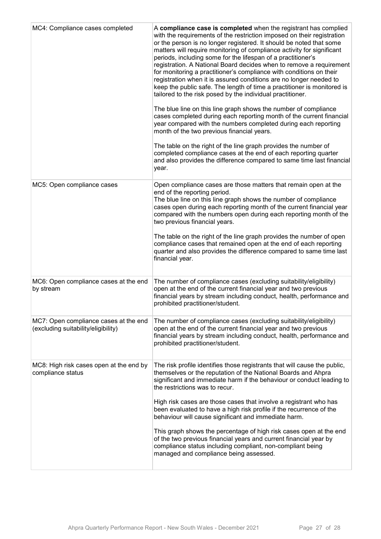| MC4: Compliance cases completed                                              | A compliance case is completed when the registrant has complied<br>with the requirements of the restriction imposed on their registration<br>or the person is no longer registered. It should be noted that some<br>matters will require monitoring of compliance activity for significant<br>periods, including some for the lifespan of a practitioner's<br>registration. A National Board decides when to remove a requirement<br>for monitoring a practitioner's compliance with conditions on their<br>registration when it is assured conditions are no longer needed to<br>keep the public safe. The length of time a practitioner is monitored is<br>tailored to the risk posed by the individual practitioner.<br>The blue line on this line graph shows the number of compliance<br>cases completed during each reporting month of the current financial<br>year compared with the numbers completed during each reporting<br>month of the two previous financial years.<br>The table on the right of the line graph provides the number of<br>completed compliance cases at the end of each reporting quarter<br>and also provides the difference compared to same time last financial<br>year. |
|------------------------------------------------------------------------------|------------------------------------------------------------------------------------------------------------------------------------------------------------------------------------------------------------------------------------------------------------------------------------------------------------------------------------------------------------------------------------------------------------------------------------------------------------------------------------------------------------------------------------------------------------------------------------------------------------------------------------------------------------------------------------------------------------------------------------------------------------------------------------------------------------------------------------------------------------------------------------------------------------------------------------------------------------------------------------------------------------------------------------------------------------------------------------------------------------------------------------------------------------------------------------------------------------|
| MC5: Open compliance cases                                                   | Open compliance cases are those matters that remain open at the<br>end of the reporting period.<br>The blue line on this line graph shows the number of compliance<br>cases open during each reporting month of the current financial year<br>compared with the numbers open during each reporting month of the<br>two previous financial years.<br>The table on the right of the line graph provides the number of open<br>compliance cases that remained open at the end of each reporting<br>quarter and also provides the difference compared to same time last<br>financial year.                                                                                                                                                                                                                                                                                                                                                                                                                                                                                                                                                                                                                     |
| MC6: Open compliance cases at the end<br>by stream                           | The number of compliance cases (excluding suitability/eligibility)<br>open at the end of the current financial year and two previous<br>financial years by stream including conduct, health, performance and<br>prohibited practitioner/student.                                                                                                                                                                                                                                                                                                                                                                                                                                                                                                                                                                                                                                                                                                                                                                                                                                                                                                                                                           |
| MC7: Open compliance cases at the end<br>(excluding suitability/eligibility) | The number of compliance cases (excluding suitability/eligibility)<br>open at the end of the current financial year and two previous<br>financial years by stream including conduct, health, performance and<br>prohibited practitioner/student.                                                                                                                                                                                                                                                                                                                                                                                                                                                                                                                                                                                                                                                                                                                                                                                                                                                                                                                                                           |
| MC8: High risk cases open at the end by<br>compliance status                 | The risk profile identifies those registrants that will cause the public,<br>themselves or the reputation of the National Boards and Ahpra<br>significant and immediate harm if the behaviour or conduct leading to<br>the restrictions was to recur.<br>High risk cases are those cases that involve a registrant who has<br>been evaluated to have a high risk profile if the recurrence of the<br>behaviour will cause significant and immediate harm.<br>This graph shows the percentage of high risk cases open at the end<br>of the two previous financial years and current financial year by<br>compliance status including compliant, non-compliant being<br>managed and compliance being assessed.                                                                                                                                                                                                                                                                                                                                                                                                                                                                                               |